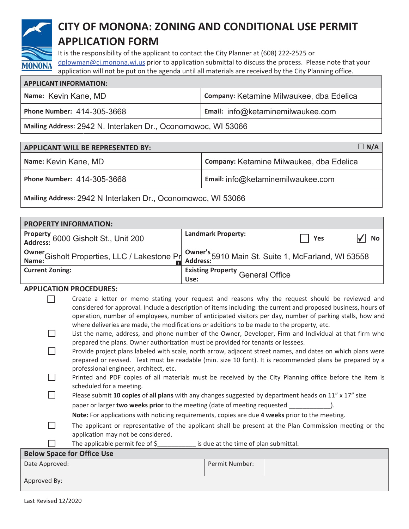

# CITY OF MONONA: ZONING AND CONDITIONAL USE PERMIT **APPLICATION FORM**

It is the responsibility of the applicant to contact the City Planner at (608) 222-2525 or dplowman@ci.monona.wi.us prior to application submittal to discuss the process. Please note that your application will not be put on the agenda until all materials are received by the City Planning office.

| <b>APPLICANT INFORMATION:</b> |                                          |  |
|-------------------------------|------------------------------------------|--|
| Name: Kevin Kane, MD          | Company: Ketamine Milwaukee, dba Edelica |  |
| Phone Number: 414-305-3668    | Email: info@ketaminemilwaukee.com        |  |
|                               |                                          |  |

Mailing Address: 2942 N. Interlaken Dr., Oconomowoc, WI 53066

| <b>APPLICANT WILL BE REPRESENTED BY:</b> | $\Box$ N/A                               |
|------------------------------------------|------------------------------------------|
| Name: Kevin Kane, MD                     | Company: Ketamine Milwaukee, dba Edelica |
| Phone Number: 414-305-3668               | Email: info@ketaminemilwaukee.com        |

Mailing Address: 2942 N Interlaken Dr., Oconomowoc, WI 53066

| <b>PROPERTY INFORMATION:</b>                    |                                                                                                                   |     |    |
|-------------------------------------------------|-------------------------------------------------------------------------------------------------------------------|-----|----|
| Property<br>Address: 6000 Gisholt St., Unit 200 | <b>Landmark Property:</b>                                                                                         | Yes | No |
|                                                 |                                                                                                                   |     |    |
|                                                 | Owner<br>Name: Gisholt Properties, LLC / Lakestone Princh and Address: 5910 Main St. Suite 1, McFarland, WI 53558 |     |    |
|                                                 |                                                                                                                   |     |    |
| <b>Current Zoning:</b>                          | <b>Existing Property General Office</b>                                                                           |     |    |
| Use:                                            |                                                                                                                   |     |    |

## **APPLICATION PROCEDURES:**

| Create a letter or memo stating your request and reasons why the request should be reviewed and                |
|----------------------------------------------------------------------------------------------------------------|
| considered for approval. Include a description of items including: the current and proposed business, hours of |
| operation, number of employees, number of anticipated visitors per day, number of parking stalls, how and      |
| where deliveries are made, the modifications or additions to be made to the property, etc.                     |

- $\Box$ List the name, address, and phone number of the Owner, Developer, Firm and Individual at that firm who prepared the plans. Owner authorization must be provided for tenants or lessees.
- $\Box$ Provide project plans labeled with scale, north arrow, adjacent street names, and dates on which plans were prepared or revised. Text must be readable (min. size 10 font). It is recommended plans be prepared by a professional engineer, architect, etc.
- П Printed and PDF copies of all materials must be received by the City Planning office before the item is scheduled for a meeting.
- П Please submit 10 copies of all plans with any changes suggested by department heads on 11" x 17" size paper or larger two weeks prior to the meeting (date of meeting requested  $\cdot$ 
	- Note: For applications with noticing requirements, copies are due 4 weeks prior to the meeting.
	- The applicant or representative of the applicant shall be present at the Plan Commission meeting or the
	- application may not be considered.
		- The applicable permit fee of \$ is due at the time of plan submittal.

| <b>Below Space for Office Use</b> |                |
|-----------------------------------|----------------|
| Date Approved:                    | Permit Number: |
|                                   |                |
| Approved By:                      |                |

П

П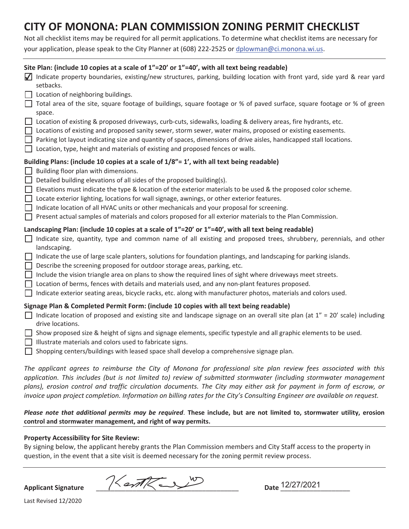# CITY OF MONONA: PLAN COMMISSION ZONING PERMIT CHECKLIST

Not all checklist items may be required for all permit applications. To determine what checklist items are necessary for your application, please speak to the City Planner at (608) 222-2525 or dplowman@ci.monona.wi.us.

|                               | Site Plan: (include 10 copies at a scale of 1"=20' or 1"=40', with all text being readable)<br>Indicate property boundaries, existing/new structures, parking, building location with front yard, side yard & rear yard<br>setbacks.<br>Location of neighboring buildings.<br>Total area of the site, square footage of buildings, square footage or % of paved surface, square footage or % of green<br>space.                                                                                                                                                                                                                                                                                                                                                                 |
|-------------------------------|---------------------------------------------------------------------------------------------------------------------------------------------------------------------------------------------------------------------------------------------------------------------------------------------------------------------------------------------------------------------------------------------------------------------------------------------------------------------------------------------------------------------------------------------------------------------------------------------------------------------------------------------------------------------------------------------------------------------------------------------------------------------------------|
|                               | Location of existing & proposed driveways, curb-cuts, sidewalks, loading & delivery areas, fire hydrants, etc.<br>Locations of existing and proposed sanity sewer, storm sewer, water mains, proposed or existing easements.<br>Parking lot layout indicating size and quantity of spaces, dimensions of drive aisles, handicapped stall locations.<br>Location, type, height and materials of existing and proposed fences or walls.                                                                                                                                                                                                                                                                                                                                           |
| П                             | Building Plans: (include 10 copies at a scale of 1/8"= 1', with all text being readable)<br>Building floor plan with dimensions.<br>Detailed building elevations of all sides of the proposed building(s).<br>Elevations must indicate the type & location of the exterior materials to be used & the proposed color scheme.<br>Locate exterior lighting, locations for wall signage, awnings, or other exterior features.<br>Indicate location of all HVAC units or other mechanicals and your proposal for screening.<br>Present actual samples of materials and colors proposed for all exterior materials to the Plan Commission.                                                                                                                                           |
| $\perp$<br>$\perp$<br>$\perp$ | Landscaping Plan: (include 10 copies at a scale of 1"=20' or 1"=40', with all text being readable)<br>Indicate size, quantity, type and common name of all existing and proposed trees, shrubbery, perennials, and other<br>landscaping.<br>Indicate the use of large scale planters, solutions for foundation plantings, and landscaping for parking islands.<br>Describe the screening proposed for outdoor storage areas, parking, etc.<br>Include the vision triangle area on plans to show the required lines of sight where driveways meet streets.<br>Location of berms, fences with details and materials used, and any non-plant features proposed.<br>Indicate exterior seating areas, bicycle racks, etc. along with manufacturer photos, materials and colors used. |
| $\Box$<br>$\perp$             | Signage Plan & Completed Permit Form: (include 10 copies with all text being readable)<br>Indicate location of proposed and existing site and landscape signage on an overall site plan (at $1'' = 20'$ scale) including<br>drive locations.<br>Show proposed size & height of signs and signage elements, specific typestyle and all graphic elements to be used.<br>Illustrate materials and colors used to fabricate signs.<br>Shopping centers/buildings with leased space shall develop a comprehensive signage plan.                                                                                                                                                                                                                                                      |
|                               | $\sim$ $\sim$ $\sim$ $\sim$ $\sim$ $\sim$ $\sim$ $\sim$                                                                                                                                                                                                                                                                                                                                                                                                                                                                                                                                                                                                                                                                                                                         |

The applicant agrees to reimburse the City of Monona for professional site plan review fees associated with this application. This includes (but is not limited to) review of submitted stormwater (including stormwater management plans), erosion control and traffic circulation documents. The City may either ask for payment in form of escrow, or invoice upon project completion. Information on billing rates for the City's Consulting Engineer are available on request.

Please note that additional permits may be required. These include, but are not limited to, stormwater utility, erosion control and stormwater management, and right of way permits.

#### **Property Accessibility for Site Review:**

By signing below, the applicant hereby grants the Plan Commission members and City Staff access to the property in question, in the event that a site visit is deemed necessary for the zoning permit review process.

Kentkey **Applicant Signature** 

Date 12/27/2021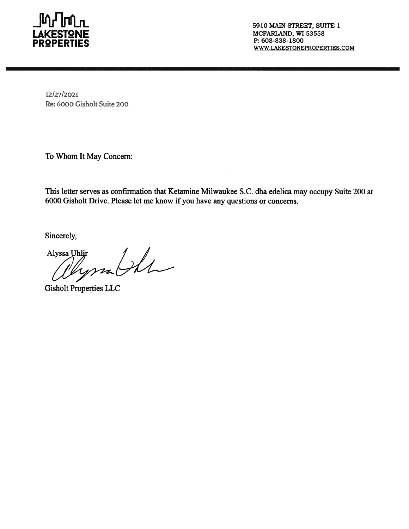

5910 MAIN STREET, SUITE 1 MCFARLAND, WI 53558 P: 608-838-1800 WWW.LAKESTONEPROPERTIES.COM

I2/27/2021 Re: 6000 Gisholt Suite 200

To Whom It May Concern:

This letter serves as confirmation that Ketamine Milwaukee S.C. dba edelica may occupy Suite 200 at 6000 Gisholt Drive. Please let me know if you have any questions or concerns.

Sincerely,

a Uhlir<br>Myssa Ille Alyssa Uhlir

**Gisholt Properties LLC**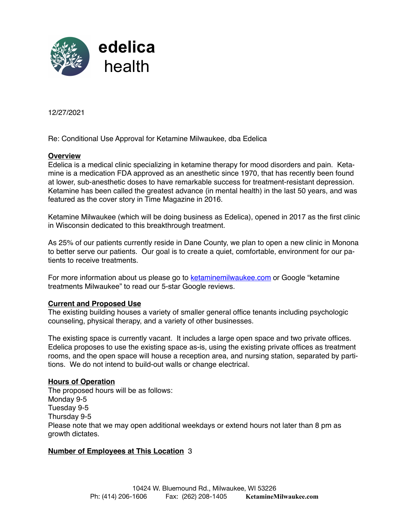

12/27/2021

Re: Conditional Use Approval for Ketamine Milwaukee, dba Edelica

### **Overview**

Edelica is a medical clinic specializing in ketamine therapy for mood disorders and pain. Ketamine is a medication FDA approved as an anesthetic since 1970, that has recently been found at lower, sub-anesthetic doses to have remarkable success for treatment-resistant depression. Ketamine has been called the greatest advance (in mental health) in the last 50 years, and was featured as the cover story in Time Magazine in 2016.

Ketamine Milwaukee (which will be doing business as Edelica), opened in 2017 as the first clinic in Wisconsin dedicated to this breakthrough treatment.

As 25% of our patients currently reside in Dane County, we plan to open a new clinic in Monona to better serve our patients. Our goal is to create a quiet, comfortable, environment for our patients to receive treatments.

For more information about us please go to ketaminemilwaukee.com or Google "ketamine" treatments Milwaukee" to read our 5-star Google reviews.

#### **Current and Proposed Use**

The existing building houses a variety of smaller general office tenants including psychologic counseling, physical therapy, and a variety of other businesses.

The existing space is currently vacant. It includes a large open space and two private offices. Edelica proposes to use the existing space as-is, using the existing private offices as treatment rooms, and the open space will house a reception area, and nursing station, separated by partitions. We do not intend to build-out walls or change electrical.

#### **Hours of Operation**

The proposed hours will be as follows: Monday 9-5 Tuesday 9-5 Thursday 9-5 Please note that we may open additional weekdays or extend hours not later than 8 pm as growth dictates.

## **Number of Employees at This Location** 3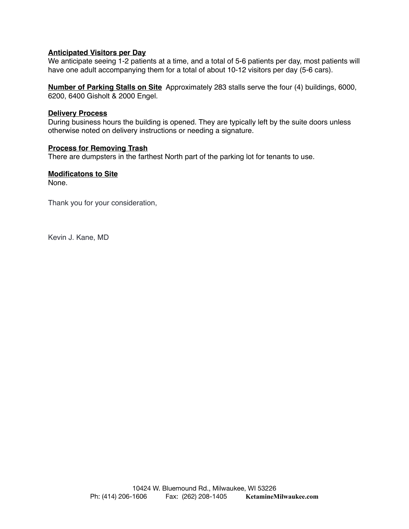### **Anticipated Visitors per Day**

We anticipate seeing 1-2 patients at a time, and a total of 5-6 patients per day, most patients will have one adult accompanying them for a total of about 10-12 visitors per day (5-6 cars).

**Number of Parking Stalls on Site** Approximately 283 stalls serve the four (4) buildings, 6000, 6200, 6400 Gisholt & 2000 Engel.

#### **Delivery Process**

During business hours the building is opened. They are typically left by the suite doors unless otherwise noted on delivery instructions or needing a signature.

#### **Process for Removing Trash**

There are dumpsters in the farthest North part of the parking lot for tenants to use.

## **Modificatons to Site**

None.

Thank you for your consideration,

Kevin J. Kane, MD